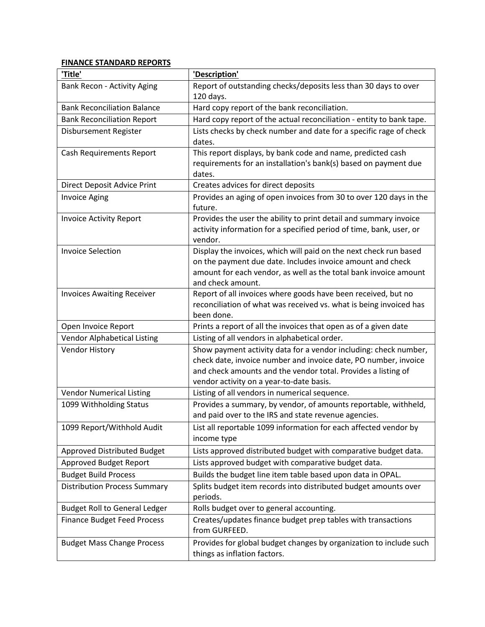## **FINANCE STANDARD REPORTS**

| 'Title'                              | 'Description'                                                                                                                                                                                                                                    |
|--------------------------------------|--------------------------------------------------------------------------------------------------------------------------------------------------------------------------------------------------------------------------------------------------|
| <b>Bank Recon - Activity Aging</b>   | Report of outstanding checks/deposits less than 30 days to over                                                                                                                                                                                  |
|                                      | 120 days.                                                                                                                                                                                                                                        |
| <b>Bank Reconciliation Balance</b>   | Hard copy report of the bank reconciliation.                                                                                                                                                                                                     |
| <b>Bank Reconciliation Report</b>    | Hard copy report of the actual reconciliation - entity to bank tape.                                                                                                                                                                             |
| Disbursement Register                | Lists checks by check number and date for a specific rage of check<br>dates.                                                                                                                                                                     |
| <b>Cash Requirements Report</b>      | This report displays, by bank code and name, predicted cash<br>requirements for an installation's bank(s) based on payment due<br>dates.                                                                                                         |
| <b>Direct Deposit Advice Print</b>   | Creates advices for direct deposits                                                                                                                                                                                                              |
| <b>Invoice Aging</b>                 | Provides an aging of open invoices from 30 to over 120 days in the<br>future.                                                                                                                                                                    |
| <b>Invoice Activity Report</b>       | Provides the user the ability to print detail and summary invoice<br>activity information for a specified period of time, bank, user, or<br>vendor.                                                                                              |
| <b>Invoice Selection</b>             | Display the invoices, which will paid on the next check run based<br>on the payment due date. Includes invoice amount and check<br>amount for each vendor, as well as the total bank invoice amount<br>and check amount.                         |
| <b>Invoices Awaiting Receiver</b>    | Report of all invoices where goods have been received, but no<br>reconciliation of what was received vs. what is being invoiced has<br>been done.                                                                                                |
| Open Invoice Report                  | Prints a report of all the invoices that open as of a given date                                                                                                                                                                                 |
| <b>Vendor Alphabetical Listing</b>   | Listing of all vendors in alphabetical order.                                                                                                                                                                                                    |
| <b>Vendor History</b>                | Show payment activity data for a vendor including: check number,<br>check date, invoice number and invoice date, PO number, invoice<br>and check amounts and the vendor total. Provides a listing of<br>vendor activity on a year-to-date basis. |
| <b>Vendor Numerical Listing</b>      | Listing of all vendors in numerical sequence.                                                                                                                                                                                                    |
| 1099 Withholding Status              | Provides a summary, by vendor, of amounts reportable, withheld,<br>and paid over to the IRS and state revenue agencies.                                                                                                                          |
| 1099 Report/Withhold Audit           | List all reportable 1099 information for each affected vendor by<br>income type                                                                                                                                                                  |
| Approved Distributed Budget          | Lists approved distributed budget with comparative budget data.                                                                                                                                                                                  |
| Approved Budget Report               | Lists approved budget with comparative budget data.                                                                                                                                                                                              |
| <b>Budget Build Process</b>          | Builds the budget line item table based upon data in OPAL.                                                                                                                                                                                       |
| <b>Distribution Process Summary</b>  | Splits budget item records into distributed budget amounts over<br>periods.                                                                                                                                                                      |
| <b>Budget Roll to General Ledger</b> | Rolls budget over to general accounting.                                                                                                                                                                                                         |
| <b>Finance Budget Feed Process</b>   | Creates/updates finance budget prep tables with transactions<br>from GURFEED.                                                                                                                                                                    |
| <b>Budget Mass Change Process</b>    | Provides for global budget changes by organization to include such<br>things as inflation factors.                                                                                                                                               |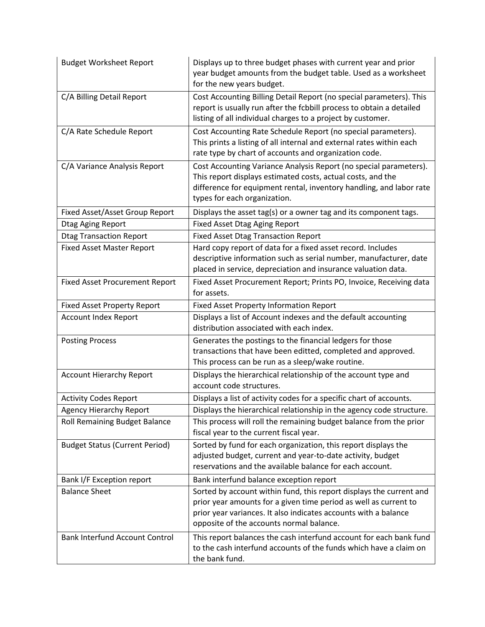| <b>Budget Worksheet Report</b>        | Displays up to three budget phases with current year and prior<br>year budget amounts from the budget table. Used as a worksheet<br>for the new years budget.                                                                                          |
|---------------------------------------|--------------------------------------------------------------------------------------------------------------------------------------------------------------------------------------------------------------------------------------------------------|
| C/A Billing Detail Report             | Cost Accounting Billing Detail Report (no special parameters). This<br>report is usually run after the fcbbill process to obtain a detailed<br>listing of all individual charges to a project by customer.                                             |
| C/A Rate Schedule Report              | Cost Accounting Rate Schedule Report (no special parameters).<br>This prints a listing of all internal and external rates within each<br>rate type by chart of accounts and organization code.                                                         |
| C/A Variance Analysis Report          | Cost Accounting Variance Analysis Report (no special parameters).<br>This report displays estimated costs, actual costs, and the<br>difference for equipment rental, inventory handling, and labor rate<br>types for each organization.                |
| Fixed Asset/Asset Group Report        | Displays the asset tag(s) or a owner tag and its component tags.                                                                                                                                                                                       |
| Dtag Aging Report                     | <b>Fixed Asset Dtag Aging Report</b>                                                                                                                                                                                                                   |
| <b>Dtag Transaction Report</b>        | <b>Fixed Asset Dtag Transaction Report</b>                                                                                                                                                                                                             |
| <b>Fixed Asset Master Report</b>      | Hard copy report of data for a fixed asset record. Includes<br>descriptive information such as serial number, manufacturer, date<br>placed in service, depreciation and insurance valuation data.                                                      |
| <b>Fixed Asset Procurement Report</b> | Fixed Asset Procurement Report; Prints PO, Invoice, Receiving data<br>for assets.                                                                                                                                                                      |
| <b>Fixed Asset Property Report</b>    | Fixed Asset Property Information Report                                                                                                                                                                                                                |
| <b>Account Index Report</b>           | Displays a list of Account indexes and the default accounting<br>distribution associated with each index.                                                                                                                                              |
| <b>Posting Process</b>                | Generates the postings to the financial ledgers for those<br>transactions that have been editted, completed and approved.<br>This process can be run as a sleep/wake routine.                                                                          |
| <b>Account Hierarchy Report</b>       | Displays the hierarchical relationship of the account type and<br>account code structures.                                                                                                                                                             |
| <b>Activity Codes Report</b>          | Displays a list of activity codes for a specific chart of accounts.                                                                                                                                                                                    |
| <b>Agency Hierarchy Report</b>        | Displays the hierarchical relationship in the agency code structure.                                                                                                                                                                                   |
| <b>Roll Remaining Budget Balance</b>  | This process will roll the remaining budget balance from the prior<br>fiscal year to the current fiscal year.                                                                                                                                          |
| <b>Budget Status (Current Period)</b> | Sorted by fund for each organization, this report displays the<br>adjusted budget, current and year-to-date activity, budget<br>reservations and the available balance for each account.                                                               |
| Bank I/F Exception report             | Bank interfund balance exception report                                                                                                                                                                                                                |
| <b>Balance Sheet</b>                  | Sorted by account within fund, this report displays the current and<br>prior year amounts for a given time period as well as current to<br>prior year variances. It also indicates accounts with a balance<br>opposite of the accounts normal balance. |
| <b>Bank Interfund Account Control</b> | This report balances the cash interfund account for each bank fund<br>to the cash interfund accounts of the funds which have a claim on<br>the bank fund.                                                                                              |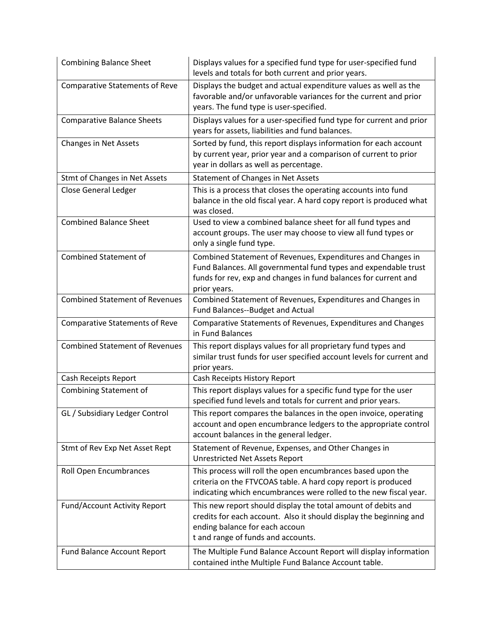| <b>Combining Balance Sheet</b>        | Displays values for a specified fund type for user-specified fund<br>levels and totals for both current and prior years.                                                                                          |
|---------------------------------------|-------------------------------------------------------------------------------------------------------------------------------------------------------------------------------------------------------------------|
| <b>Comparative Statements of Reve</b> | Displays the budget and actual expenditure values as well as the<br>favorable and/or unfavorable variances for the current and prior<br>years. The fund type is user-specified.                                   |
| <b>Comparative Balance Sheets</b>     | Displays values for a user-specified fund type for current and prior<br>years for assets, liabilities and fund balances.                                                                                          |
| <b>Changes in Net Assets</b>          | Sorted by fund, this report displays information for each account<br>by current year, prior year and a comparison of current to prior<br>year in dollars as well as percentage.                                   |
| Stmt of Changes in Net Assets         | Statement of Changes in Net Assets                                                                                                                                                                                |
| <b>Close General Ledger</b>           | This is a process that closes the operating accounts into fund<br>balance in the old fiscal year. A hard copy report is produced what<br>was closed.                                                              |
| <b>Combined Balance Sheet</b>         | Used to view a combined balance sheet for all fund types and<br>account groups. The user may choose to view all fund types or<br>only a single fund type.                                                         |
| <b>Combined Statement of</b>          | Combined Statement of Revenues, Expenditures and Changes in<br>Fund Balances. All governmental fund types and expendable trust<br>funds for rev, exp and changes in fund balances for current and<br>prior years. |
| <b>Combined Statement of Revenues</b> | Combined Statement of Revenues, Expenditures and Changes in<br>Fund Balances--Budget and Actual                                                                                                                   |
| <b>Comparative Statements of Reve</b> | Comparative Statements of Revenues, Expenditures and Changes<br>in Fund Balances                                                                                                                                  |
| <b>Combined Statement of Revenues</b> | This report displays values for all proprietary fund types and<br>similar trust funds for user specified account levels for current and<br>prior years.                                                           |
| Cash Receipts Report                  | Cash Receipts History Report                                                                                                                                                                                      |
| <b>Combining Statement of</b>         | This report displays values for a specific fund type for the user<br>specified fund levels and totals for current and prior years.                                                                                |
| GL / Subsidiary Ledger Control        | This report compares the balances in the open invoice, operating<br>account and open encumbrance ledgers to the appropriate control<br>account balances in the general ledger.                                    |
| Stmt of Rev Exp Net Asset Rept        | Statement of Revenue, Expenses, and Other Changes in<br><b>Unrestricted Net Assets Report</b>                                                                                                                     |
| Roll Open Encumbrances                | This process will roll the open encumbrances based upon the<br>criteria on the FTVCOAS table. A hard copy report is produced<br>indicating which encumbrances were rolled to the new fiscal year.                 |
| Fund/Account Activity Report          | This new report should display the total amount of debits and<br>credits for each account. Also it should display the beginning and<br>ending balance for each accoun<br>t and range of funds and accounts.       |
| Fund Balance Account Report           | The Multiple Fund Balance Account Report will display information<br>contained inthe Multiple Fund Balance Account table.                                                                                         |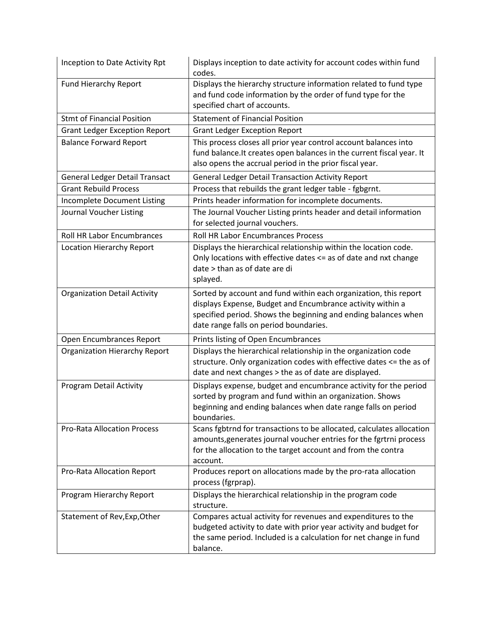| Inception to Date Activity Rpt        | Displays inception to date activity for account codes within fund<br>codes.                                                                                                                                                                |
|---------------------------------------|--------------------------------------------------------------------------------------------------------------------------------------------------------------------------------------------------------------------------------------------|
| <b>Fund Hierarchy Report</b>          | Displays the hierarchy structure information related to fund type<br>and fund code information by the order of fund type for the<br>specified chart of accounts.                                                                           |
| <b>Stmt of Financial Position</b>     | <b>Statement of Financial Position</b>                                                                                                                                                                                                     |
| <b>Grant Ledger Exception Report</b>  | <b>Grant Ledger Exception Report</b>                                                                                                                                                                                                       |
| <b>Balance Forward Report</b>         | This process closes all prior year control account balances into<br>fund balance. It creates open balances in the current fiscal year. It<br>also opens the accrual period in the prior fiscal year.                                       |
| <b>General Ledger Detail Transact</b> | <b>General Ledger Detail Transaction Activity Report</b>                                                                                                                                                                                   |
| <b>Grant Rebuild Process</b>          | Process that rebuilds the grant ledger table - fgbgrnt.                                                                                                                                                                                    |
| Incomplete Document Listing           | Prints header information for incomplete documents.                                                                                                                                                                                        |
| Journal Voucher Listing               | The Journal Voucher Listing prints header and detail information<br>for selected journal vouchers.                                                                                                                                         |
| <b>Roll HR Labor Encumbrances</b>     | <b>Roll HR Labor Encumbrances Process</b>                                                                                                                                                                                                  |
| Location Hierarchy Report             | Displays the hierarchical relationship within the location code.<br>Only locations with effective dates <= as of date and nxt change<br>date > than as of date are di<br>splayed.                                                          |
| <b>Organization Detail Activity</b>   | Sorted by account and fund within each organization, this report<br>displays Expense, Budget and Encumbrance activity within a<br>specified period. Shows the beginning and ending balances when<br>date range falls on period boundaries. |
| Open Encumbrances Report              | Prints listing of Open Encumbrances                                                                                                                                                                                                        |
| <b>Organization Hierarchy Report</b>  | Displays the hierarchical relationship in the organization code<br>structure. Only organization codes with effective dates <= the as of<br>date and next changes > the as of date are displayed.                                           |
| Program Detail Activity               | Displays expense, budget and encumbrance activity for the period<br>sorted by program and fund within an organization. Shows<br>beginning and ending balances when date range falls on period<br>boundaries.                               |
| <b>Pro-Rata Allocation Process</b>    | Scans fgbtrnd for transactions to be allocated, calculates allocation<br>amounts, generates journal voucher entries for the fgrtrni process<br>for the allocation to the target account and from the contra<br>account.                    |
| Pro-Rata Allocation Report            | Produces report on allocations made by the pro-rata allocation<br>process (fgrprap).                                                                                                                                                       |
| Program Hierarchy Report              | Displays the hierarchical relationship in the program code<br>structure.                                                                                                                                                                   |
| Statement of Rev, Exp, Other          | Compares actual activity for revenues and expenditures to the<br>budgeted activity to date with prior year activity and budget for<br>the same period. Included is a calculation for net change in fund<br>balance.                        |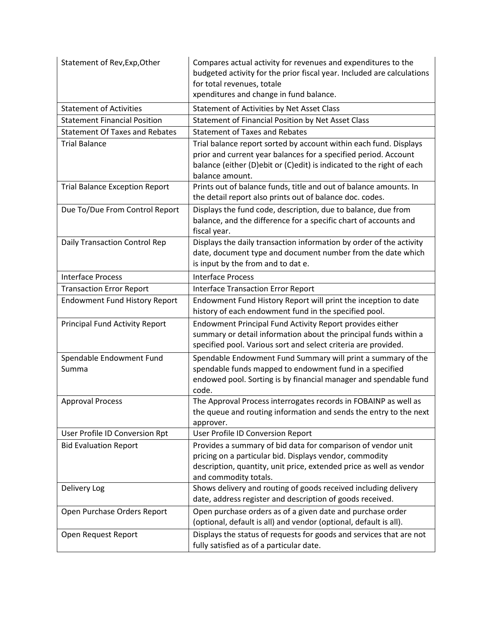| Statement of Rev, Exp, Other          | Compares actual activity for revenues and expenditures to the<br>budgeted activity for the prior fiscal year. Included are calculations<br>for total revenues, totale<br>xpenditures and change in fund balance.                 |
|---------------------------------------|----------------------------------------------------------------------------------------------------------------------------------------------------------------------------------------------------------------------------------|
| <b>Statement of Activities</b>        | Statement of Activities by Net Asset Class                                                                                                                                                                                       |
| <b>Statement Financial Position</b>   | Statement of Financial Position by Net Asset Class                                                                                                                                                                               |
| <b>Statement Of Taxes and Rebates</b> | <b>Statement of Taxes and Rebates</b>                                                                                                                                                                                            |
| <b>Trial Balance</b>                  | Trial balance report sorted by account within each fund. Displays<br>prior and current year balances for a specified period. Account<br>balance (either (D)ebit or (C)edit) is indicated to the right of each<br>balance amount. |
| <b>Trial Balance Exception Report</b> | Prints out of balance funds, title and out of balance amounts. In<br>the detail report also prints out of balance doc. codes.                                                                                                    |
| Due To/Due From Control Report        | Displays the fund code, description, due to balance, due from<br>balance, and the difference for a specific chart of accounts and<br>fiscal year.                                                                                |
| Daily Transaction Control Rep         | Displays the daily transaction information by order of the activity<br>date, document type and document number from the date which<br>is input by the from and to dat e.                                                         |
| <b>Interface Process</b>              | <b>Interface Process</b>                                                                                                                                                                                                         |
| <b>Transaction Error Report</b>       | <b>Interface Transaction Error Report</b>                                                                                                                                                                                        |
| <b>Endowment Fund History Report</b>  | Endowment Fund History Report will print the inception to date<br>history of each endowment fund in the specified pool.                                                                                                          |
| <b>Principal Fund Activity Report</b> | Endowment Principal Fund Activity Report provides either<br>summary or detail information about the principal funds within a<br>specified pool. Various sort and select criteria are provided.                                   |
| Spendable Endowment Fund<br>Summa     | Spendable Endowment Fund Summary will print a summary of the<br>spendable funds mapped to endowment fund in a specified<br>endowed pool. Sorting is by financial manager and spendable fund<br>code.                             |
| <b>Approval Process</b>               | The Approval Process interrogates records in FOBAINP as well as<br>the queue and routing information and sends the entry to the next<br>approver.                                                                                |
| User Profile ID Conversion Rpt        | User Profile ID Conversion Report                                                                                                                                                                                                |
| <b>Bid Evaluation Report</b>          | Provides a summary of bid data for comparison of vendor unit<br>pricing on a particular bid. Displays vendor, commodity<br>description, quantity, unit price, extended price as well as vendor<br>and commodity totals.          |
| Delivery Log                          | Shows delivery and routing of goods received including delivery<br>date, address register and description of goods received.                                                                                                     |
| Open Purchase Orders Report           | Open purchase orders as of a given date and purchase order<br>(optional, default is all) and vendor (optional, default is all).                                                                                                  |
| Open Request Report                   | Displays the status of requests for goods and services that are not<br>fully satisfied as of a particular date.                                                                                                                  |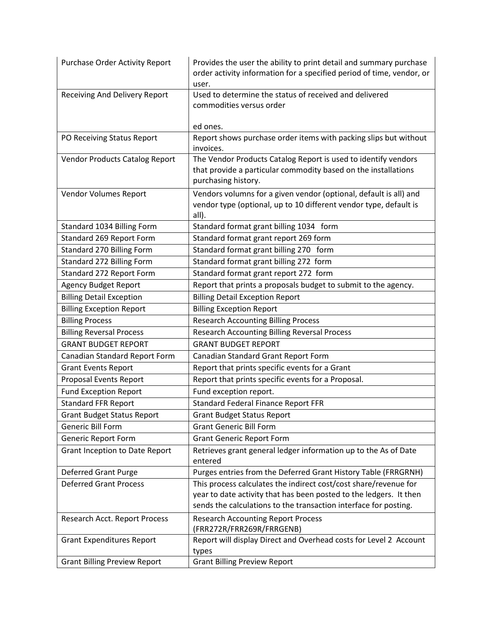| <b>Purchase Order Activity Report</b> | Provides the user the ability to print detail and summary purchase<br>order activity information for a specified period of time, vendor, or |
|---------------------------------------|---------------------------------------------------------------------------------------------------------------------------------------------|
|                                       | user.                                                                                                                                       |
| Receiving And Delivery Report         | Used to determine the status of received and delivered<br>commodities versus order                                                          |
|                                       |                                                                                                                                             |
|                                       | ed ones.                                                                                                                                    |
| PO Receiving Status Report            | Report shows purchase order items with packing slips but without                                                                            |
|                                       | invoices.                                                                                                                                   |
| <b>Vendor Products Catalog Report</b> | The Vendor Products Catalog Report is used to identify vendors                                                                              |
|                                       | that provide a particular commodity based on the installations                                                                              |
|                                       | purchasing history.                                                                                                                         |
| Vendor Volumes Report                 | Vendors volumns for a given vendor (optional, default is all) and                                                                           |
|                                       | vendor type (optional, up to 10 different vendor type, default is                                                                           |
|                                       | all).                                                                                                                                       |
| Standard 1034 Billing Form            | Standard format grant billing 1034 form                                                                                                     |
| Standard 269 Report Form              | Standard format grant report 269 form                                                                                                       |
| Standard 270 Billing Form             | Standard format grant billing 270 form                                                                                                      |
| Standard 272 Billing Form             | Standard format grant billing 272 form                                                                                                      |
| Standard 272 Report Form              | Standard format grant report 272 form                                                                                                       |
| <b>Agency Budget Report</b>           | Report that prints a proposals budget to submit to the agency.                                                                              |
| <b>Billing Detail Exception</b>       | <b>Billing Detail Exception Report</b>                                                                                                      |
| <b>Billing Exception Report</b>       | <b>Billing Exception Report</b>                                                                                                             |
| <b>Billing Process</b>                | <b>Research Accounting Billing Process</b>                                                                                                  |
| <b>Billing Reversal Process</b>       | Research Accounting Billing Reversal Process                                                                                                |
| <b>GRANT BUDGET REPORT</b>            | <b>GRANT BUDGET REPORT</b>                                                                                                                  |
| Canadian Standard Report Form         | Canadian Standard Grant Report Form                                                                                                         |
| <b>Grant Events Report</b>            | Report that prints specific events for a Grant                                                                                              |
| Proposal Events Report                | Report that prints specific events for a Proposal.                                                                                          |
| <b>Fund Exception Report</b>          | Fund exception report.                                                                                                                      |
| <b>Standard FFR Report</b>            | <b>Standard Federal Finance Report FFR</b>                                                                                                  |
| <b>Grant Budget Status Report</b>     | <b>Grant Budget Status Report</b>                                                                                                           |
| <b>Generic Bill Form</b>              | <b>Grant Generic Bill Form</b>                                                                                                              |
| <b>Generic Report Form</b>            | <b>Grant Generic Report Form</b>                                                                                                            |
| Grant Inception to Date Report        | Retrieves grant general ledger information up to the As of Date                                                                             |
|                                       | entered                                                                                                                                     |
| Deferred Grant Purge                  | Purges entries from the Deferred Grant History Table (FRRGRNH)                                                                              |
| <b>Deferred Grant Process</b>         | This process calculates the indirect cost/cost share/revenue for                                                                            |
|                                       | year to date activity that has been posted to the ledgers. It then                                                                          |
|                                       | sends the calculations to the transaction interface for posting.                                                                            |
| Research Acct. Report Process         | <b>Research Accounting Report Process</b>                                                                                                   |
|                                       | (FRR272R/FRR269R/FRRGENB)                                                                                                                   |
| <b>Grant Expenditures Report</b>      | Report will display Direct and Overhead costs for Level 2 Account                                                                           |
|                                       | types                                                                                                                                       |
| <b>Grant Billing Preview Report</b>   | <b>Grant Billing Preview Report</b>                                                                                                         |